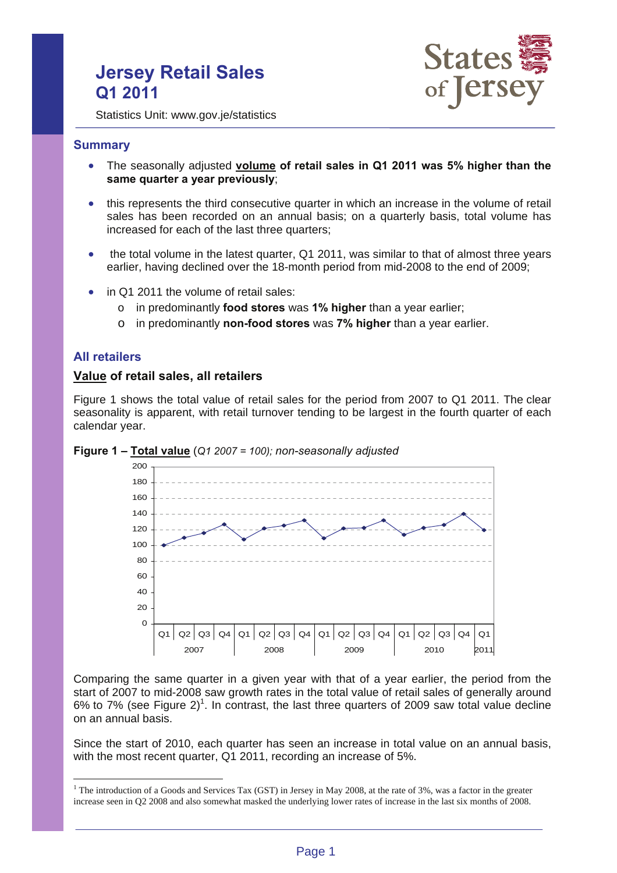# **Jersey Retail Sales Q1 2011**



Statistics Unit: www.gov.je/statistics

## **Summary**

- The seasonally adjusted **volume of retail sales in Q1 2011 was 5% higher than the same quarter a year previously**;
- this represents the third consecutive quarter in which an increase in the volume of retail sales has been recorded on an annual basis; on a quarterly basis, total volume has increased for each of the last three quarters;
- the total volume in the latest quarter, Q1 2011, was similar to that of almost three years earlier, having declined over the 18-month period from mid-2008 to the end of 2009;
- in Q1 2011 the volume of retail sales:
	- o in predominantly **food stores** was **1% higher** than a year earlier;
	- o in predominantly **non-food stores** was **7% higher** than a year earlier.

## **All retailers**

 $\overline{a}$ 

### **Value of retail sales, all retailers**

Figure 1 shows the total value of retail sales for the period from 2007 to Q1 2011. The clear seasonality is apparent, with retail turnover tending to be largest in the fourth quarter of each calendar year.





Comparing the same quarter in a given year with that of a year earlier, the period from the start of 2007 to mid-2008 saw growth rates in the total value of retail sales of generally around 6% to 7% (see Figure 2)<sup>1</sup>. In contrast, the last three quarters of 2009 saw total value decline on an annual basis.

Since the start of 2010, each quarter has seen an increase in total value on an annual basis, with the most recent quarter, Q1 2011, recording an increase of 5%.

<sup>&</sup>lt;sup>1</sup> The introduction of a Goods and Services Tax (GST) in Jersey in May 2008, at the rate of 3%, was a factor in the greater increase seen in Q2 2008 and also somewhat masked the underlying lower rates of increase in the last six months of 2008.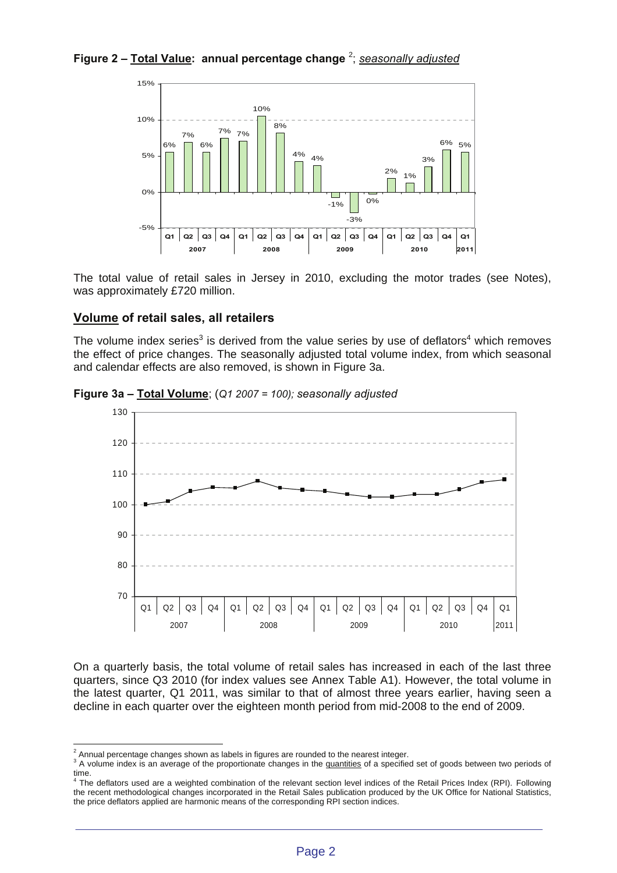# **Figure 2 – Total Value: annual percentage change** <sup>2</sup> ; *seasonally adjusted*



The total value of retail sales in Jersey in 2010, excluding the motor trades (see Notes), was approximately £720 million.

# **Volume of retail sales, all retailers**

The volume index series<sup>3</sup> is derived from the value series by use of deflators<sup>4</sup> which removes the effect of price changes. The seasonally adjusted total volume index, from which seasonal and calendar effects are also removed, is shown in Figure 3a.



**Figure 3a – Total Volume**; (*Q1 2007 = 100); seasonally adjusted*

On a quarterly basis, the total volume of retail sales has increased in each of the last three quarters, since Q3 2010 (for index values see Annex Table A1). However, the total volume in the latest quarter, Q1 2011, was similar to that of almost three years earlier, having seen a decline in each quarter over the eighteen month period from mid-2008 to the end of 2009.

<sup>&</sup>lt;sup>2</sup> Annual percentage changes shown as labels in figures are rounded to the nearest integer.<br><sup>3</sup> A velume index is an overage of the preparticulate changes in the quantities of a specific

<sup>&</sup>lt;sup>3</sup> A volume index is an average of the proportionate changes in the quantities of a specified set of goods between two periods of time.<br><sup>4</sup> The deflators used are a weighted combination of the relevant section level indices of the Retail Prices Index (RPI). Following

the recent methodological changes incorporated in the Retail Sales publication produced by the UK Office for National Statistics, the price deflators applied are harmonic means of the corresponding RPI section indices.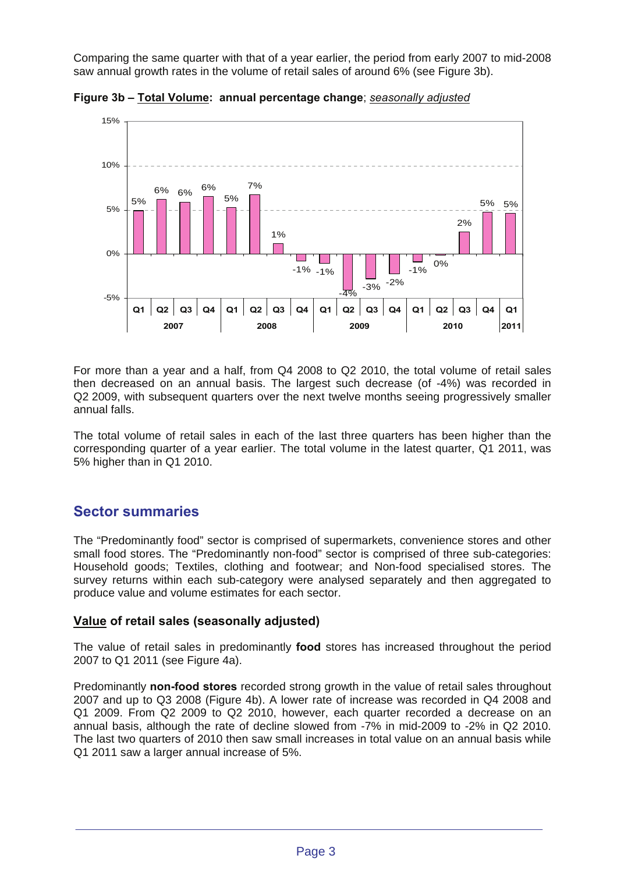Comparing the same quarter with that of a year earlier, the period from early 2007 to mid-2008 saw annual growth rates in the volume of retail sales of around 6% (see Figure 3b).



**Figure 3b – Total Volume: annual percentage change**; *seasonally adjusted*

For more than a year and a half, from Q4 2008 to Q2 2010, the total volume of retail sales then decreased on an annual basis. The largest such decrease (of -4%) was recorded in Q2 2009, with subsequent quarters over the next twelve months seeing progressively smaller annual falls.

The total volume of retail sales in each of the last three quarters has been higher than the corresponding quarter of a year earlier. The total volume in the latest quarter, Q1 2011, was 5% higher than in Q1 2010.

# **Sector summaries**

The "Predominantly food" sector is comprised of supermarkets, convenience stores and other small food stores. The "Predominantly non-food" sector is comprised of three sub-categories: Household goods; Textiles, clothing and footwear; and Non-food specialised stores. The survey returns within each sub-category were analysed separately and then aggregated to produce value and volume estimates for each sector.

# **Value of retail sales (seasonally adjusted)**

The value of retail sales in predominantly **food** stores has increased throughout the period 2007 to Q1 2011 (see Figure 4a).

Predominantly **non-food stores** recorded strong growth in the value of retail sales throughout 2007 and up to Q3 2008 (Figure 4b). A lower rate of increase was recorded in Q4 2008 and Q1 2009. From Q2 2009 to Q2 2010, however, each quarter recorded a decrease on an annual basis, although the rate of decline slowed from -7% in mid-2009 to -2% in Q2 2010. The last two quarters of 2010 then saw small increases in total value on an annual basis while Q1 2011 saw a larger annual increase of 5%.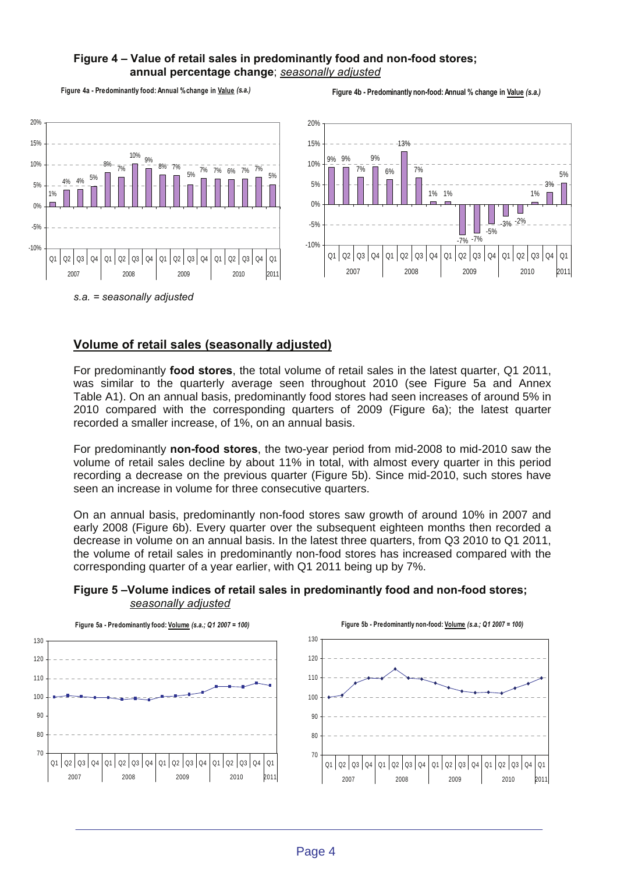# **Figure 4 – Value of retail sales in predominantly food and non-food stores; annual percentage change**; *seasonally adjusted*

**Figure 4a - Predominantly food: Annual % change in Value** *(s.a.)*

**Figure 4b - Predominantly non-food: Annual % change in Value** *(s.a.)*



*s.a. = seasonally adjusted* 

# **Volume of retail sales (seasonally adjusted)**

For predominantly **food stores**, the total volume of retail sales in the latest quarter, Q1 2011, was similar to the quarterly average seen throughout 2010 (see Figure 5a and Annex Table A1). On an annual basis, predominantly food stores had seen increases of around 5% in 2010 compared with the corresponding quarters of 2009 (Figure 6a); the latest quarter recorded a smaller increase, of 1%, on an annual basis.

For predominantly **non-food stores**, the two-year period from mid-2008 to mid-2010 saw the volume of retail sales decline by about 11% in total, with almost every quarter in this period recording a decrease on the previous quarter (Figure 5b). Since mid-2010, such stores have seen an increase in volume for three consecutive quarters.

On an annual basis, predominantly non-food stores saw growth of around 10% in 2007 and early 2008 (Figure 6b). Every quarter over the subsequent eighteen months then recorded a decrease in volume on an annual basis. In the latest three quarters, from Q3 2010 to Q1 2011, the volume of retail sales in predominantly non-food stores has increased compared with the corresponding quarter of a year earlier, with Q1 2011 being up by 7%.



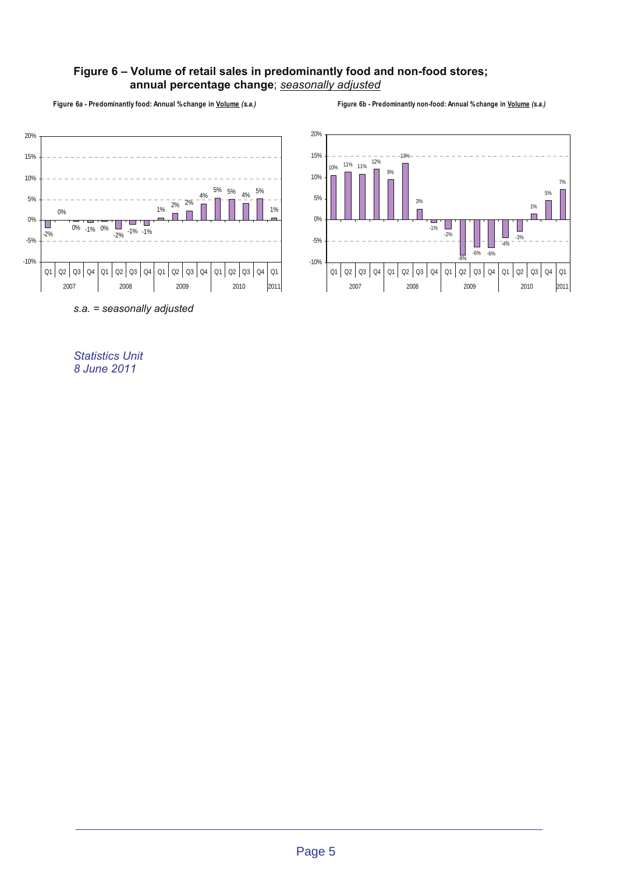## **Figure 6 – Volume of retail sales in predominantly food and non-food stores; annual percentage change**; *seasonally adjusted*

**Figure 6a - Predominantly food: Annual % change in Volume** *(s.a.)*

**Figure 6b - Predominantly non-food: Annual % change in Volume** *(s.a.)*





*Statistics Unit* 

*8 June 2011*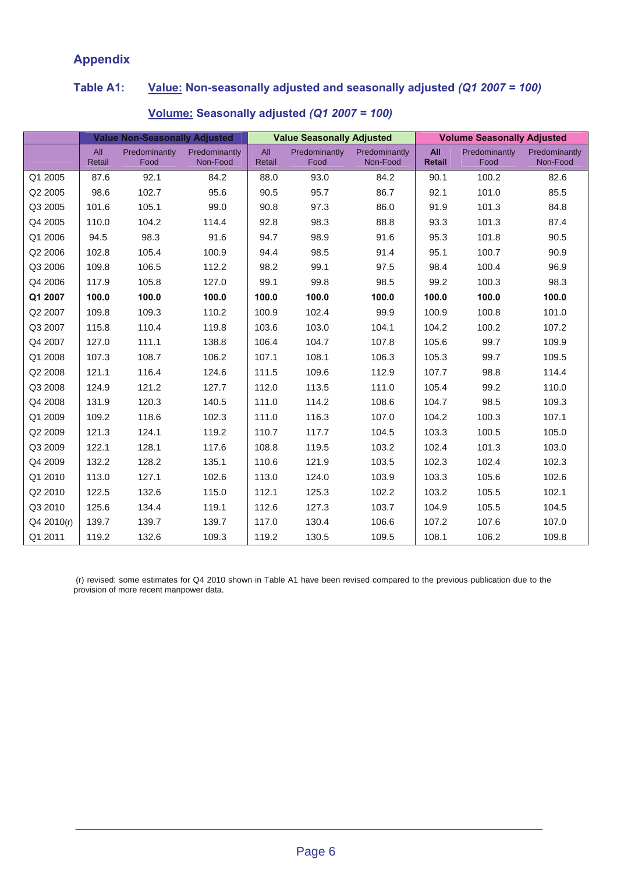# **Appendix**

# **Table A1: Value: Non-seasonally adjusted and seasonally adjusted** *(Q1 2007 = 100)*

|            | <b>Value Non-Seasonally Adjusted</b> |                       |                           | <b>Value Seasonally Adjusted</b> |                       |                           | <b>Volume Seasonally Adjusted</b> |                       |                           |
|------------|--------------------------------------|-----------------------|---------------------------|----------------------------------|-----------------------|---------------------------|-----------------------------------|-----------------------|---------------------------|
|            | All<br>Retail                        | Predominantly<br>Food | Predominantly<br>Non-Food | All<br>Retail                    | Predominantly<br>Food | Predominantly<br>Non-Food | <b>All</b><br>Retail              | Predominantly<br>Food | Predominantly<br>Non-Food |
| Q1 2005    | 87.6                                 | 92.1                  | 84.2                      | 88.0                             | 93.0                  | 84.2                      | 90.1                              | 100.2                 | 82.6                      |
| Q2 2005    | 98.6                                 | 102.7                 | 95.6                      | 90.5                             | 95.7                  | 86.7                      | 92.1                              | 101.0                 | 85.5                      |
| Q3 2005    | 101.6                                | 105.1                 | 99.0                      | 90.8                             | 97.3                  | 86.0                      | 91.9                              | 101.3                 | 84.8                      |
| Q4 2005    | 110.0                                | 104.2                 | 114.4                     | 92.8                             | 98.3                  | 88.8                      | 93.3                              | 101.3                 | 87.4                      |
| Q1 2006    | 94.5                                 | 98.3                  | 91.6                      | 94.7                             | 98.9                  | 91.6                      | 95.3                              | 101.8                 | 90.5                      |
| Q2 2006    | 102.8                                | 105.4                 | 100.9                     | 94.4                             | 98.5                  | 91.4                      | 95.1                              | 100.7                 | 90.9                      |
| Q3 2006    | 109.8                                | 106.5                 | 112.2                     | 98.2                             | 99.1                  | 97.5                      | 98.4                              | 100.4                 | 96.9                      |
| Q4 2006    | 117.9                                | 105.8                 | 127.0                     | 99.1                             | 99.8                  | 98.5                      | 99.2                              | 100.3                 | 98.3                      |
| Q1 2007    | 100.0                                | 100.0                 | 100.0                     | 100.0                            | 100.0                 | 100.0                     | 100.0                             | 100.0                 | 100.0                     |
| Q2 2007    | 109.8                                | 109.3                 | 110.2                     | 100.9                            | 102.4                 | 99.9                      | 100.9                             | 100.8                 | 101.0                     |
| Q3 2007    | 115.8                                | 110.4                 | 119.8                     | 103.6                            | 103.0                 | 104.1                     | 104.2                             | 100.2                 | 107.2                     |
| Q4 2007    | 127.0                                | 111.1                 | 138.8                     | 106.4                            | 104.7                 | 107.8                     | 105.6                             | 99.7                  | 109.9                     |
| Q1 2008    | 107.3                                | 108.7                 | 106.2                     | 107.1                            | 108.1                 | 106.3                     | 105.3                             | 99.7                  | 109.5                     |
| Q2 2008    | 121.1                                | 116.4                 | 124.6                     | 111.5                            | 109.6                 | 112.9                     | 107.7                             | 98.8                  | 114.4                     |
| Q3 2008    | 124.9                                | 121.2                 | 127.7                     | 112.0                            | 113.5                 | 111.0                     | 105.4                             | 99.2                  | 110.0                     |
| Q4 2008    | 131.9                                | 120.3                 | 140.5                     | 111.0                            | 114.2                 | 108.6                     | 104.7                             | 98.5                  | 109.3                     |
| Q1 2009    | 109.2                                | 118.6                 | 102.3                     | 111.0                            | 116.3                 | 107.0                     | 104.2                             | 100.3                 | 107.1                     |
| Q2 2009    | 121.3                                | 124.1                 | 119.2                     | 110.7                            | 117.7                 | 104.5                     | 103.3                             | 100.5                 | 105.0                     |
| Q3 2009    | 122.1                                | 128.1                 | 117.6                     | 108.8                            | 119.5                 | 103.2                     | 102.4                             | 101.3                 | 103.0                     |
| Q4 2009    | 132.2                                | 128.2                 | 135.1                     | 110.6                            | 121.9                 | 103.5                     | 102.3                             | 102.4                 | 102.3                     |
| Q1 2010    | 113.0                                | 127.1                 | 102.6                     | 113.0                            | 124.0                 | 103.9                     | 103.3                             | 105.6                 | 102.6                     |
| Q2 2010    | 122.5                                | 132.6                 | 115.0                     | 112.1                            | 125.3                 | 102.2                     | 103.2                             | 105.5                 | 102.1                     |
| Q3 2010    | 125.6                                | 134.4                 | 119.1                     | 112.6                            | 127.3                 | 103.7                     | 104.9                             | 105.5                 | 104.5                     |
| Q4 2010(r) | 139.7                                | 139.7                 | 139.7                     | 117.0                            | 130.4                 | 106.6                     | 107.2                             | 107.6                 | 107.0                     |
| Q1 2011    | 119.2                                | 132.6                 | 109.3                     | 119.2                            | 130.5                 | 109.5                     | 108.1                             | 106.2                 | 109.8                     |

# **Volume: Seasonally adjusted** *(Q1 2007 = 100)*

 (r) revised: some estimates for Q4 2010 shown in Table A1 have been revised compared to the previous publication due to the provision of more recent manpower data.